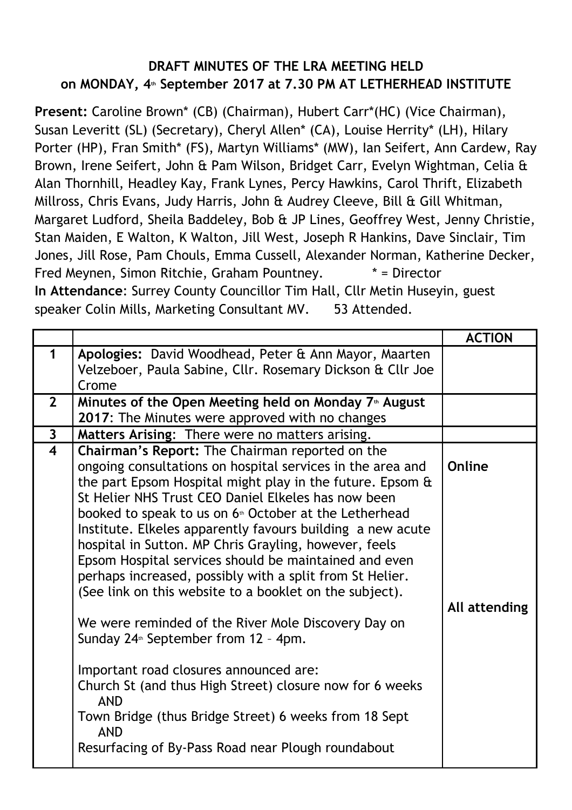## **DRAFT MINUTES OF THE LRA MEETING HELD on MONDAY, 4th September 2017 at 7.30 PM AT LETHERHEAD INSTITUTE**

**Present:** Caroline Brown\* (CB) (Chairman), Hubert Carr\*(HC) (Vice Chairman), Susan Leveritt (SL) (Secretary), Cheryl Allen\* (CA), Louise Herrity\* (LH), Hilary Porter (HP), Fran Smith\* (FS), Martyn Williams\* (MW), Ian Seifert, Ann Cardew, Ray Brown, Irene Seifert, John & Pam Wilson, Bridget Carr, Evelyn Wightman, Celia & Alan Thornhill, Headley Kay, Frank Lynes, Percy Hawkins, Carol Thrift, Elizabeth Millross, Chris Evans, Judy Harris, John & Audrey Cleeve, Bill & Gill Whitman, Margaret Ludford, Sheila Baddeley, Bob & JP Lines, Geoffrey West, Jenny Christie, Stan Maiden, E Walton, K Walton, Jill West, Joseph R Hankins, Dave Sinclair, Tim Jones, Jill Rose, Pam Chouls, Emma Cussell, Alexander Norman, Katherine Decker, Fred Meynen, Simon Ritchie, Graham Pountney. \* = Director **In Attendance**: Surrey County Councillor Tim Hall, Cllr Metin Huseyin, guest speaker Colin Mills, Marketing Consultant MV. 53 Attended.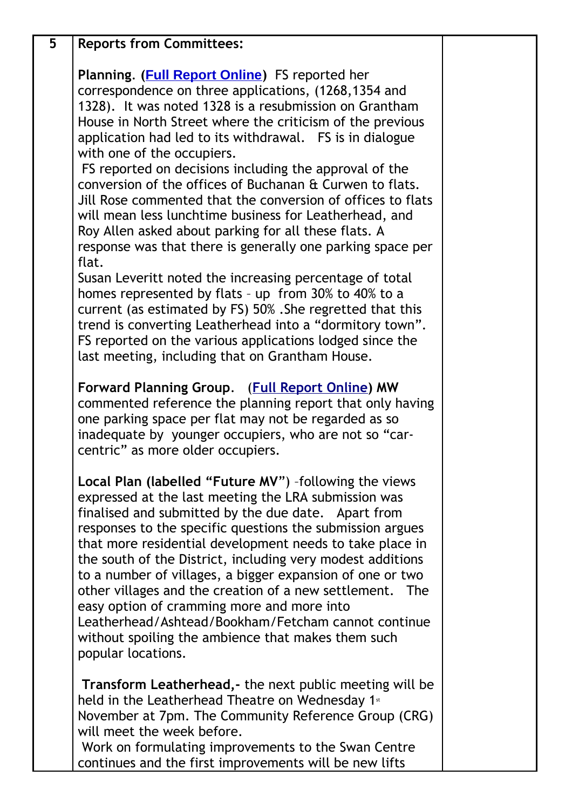| 5 | <b>Reports from Committees:</b>                                                                                                                                                                                                                                                                                                                                                                                                                                                                                                                                                                                                                                                                                                                                                                                                                                                                                                                                                                                                                                           |  |
|---|---------------------------------------------------------------------------------------------------------------------------------------------------------------------------------------------------------------------------------------------------------------------------------------------------------------------------------------------------------------------------------------------------------------------------------------------------------------------------------------------------------------------------------------------------------------------------------------------------------------------------------------------------------------------------------------------------------------------------------------------------------------------------------------------------------------------------------------------------------------------------------------------------------------------------------------------------------------------------------------------------------------------------------------------------------------------------|--|
|   | Planning. ( <b>Full Report Online</b> ) FS reported her<br>correspondence on three applications, (1268,1354 and<br>1328). It was noted 1328 is a resubmission on Grantham<br>House in North Street where the criticism of the previous<br>application had led to its withdrawal. FS is in dialogue<br>with one of the occupiers.<br>FS reported on decisions including the approval of the<br>conversion of the offices of Buchanan & Curwen to flats.<br>Jill Rose commented that the conversion of offices to flats<br>will mean less lunchtime business for Leatherhead, and<br>Roy Allen asked about parking for all these flats. A<br>response was that there is generally one parking space per<br>flat.<br>Susan Leveritt noted the increasing percentage of total<br>homes represented by flats - up from 30% to 40% to a<br>current (as estimated by FS) 50%. She regretted that this<br>trend is converting Leatherhead into a "dormitory town".<br>FS reported on the various applications lodged since the<br>last meeting, including that on Grantham House. |  |
|   | Forward Planning Group. (Full Report Online) MW<br>commented reference the planning report that only having<br>one parking space per flat may not be regarded as so<br>inadequate by younger occupiers, who are not so "car-<br>centric" as more older occupiers.                                                                                                                                                                                                                                                                                                                                                                                                                                                                                                                                                                                                                                                                                                                                                                                                         |  |
|   | Local Plan (labelled "Future MV") -following the views<br>expressed at the last meeting the LRA submission was<br>finalised and submitted by the due date. Apart from<br>responses to the specific questions the submission argues<br>that more residential development needs to take place in<br>the south of the District, including very modest additions<br>to a number of villages, a bigger expansion of one or two<br>other villages and the creation of a new settlement. The<br>easy option of cramming more and more into<br>Leatherhead/Ashtead/Bookham/Fetcham cannot continue<br>without spoiling the ambience that makes them such<br>popular locations.                                                                                                                                                                                                                                                                                                                                                                                                    |  |
|   | <b>Transform Leatherhead, - the next public meeting will be</b><br>held in the Leatherhead Theatre on Wednesday 1 <sup>st</sup><br>November at 7pm. The Community Reference Group (CRG)<br>will meet the week before.<br>Work on formulating improvements to the Swan Centre<br>continues and the first improvements will be new lifts                                                                                                                                                                                                                                                                                                                                                                                                                                                                                                                                                                                                                                                                                                                                    |  |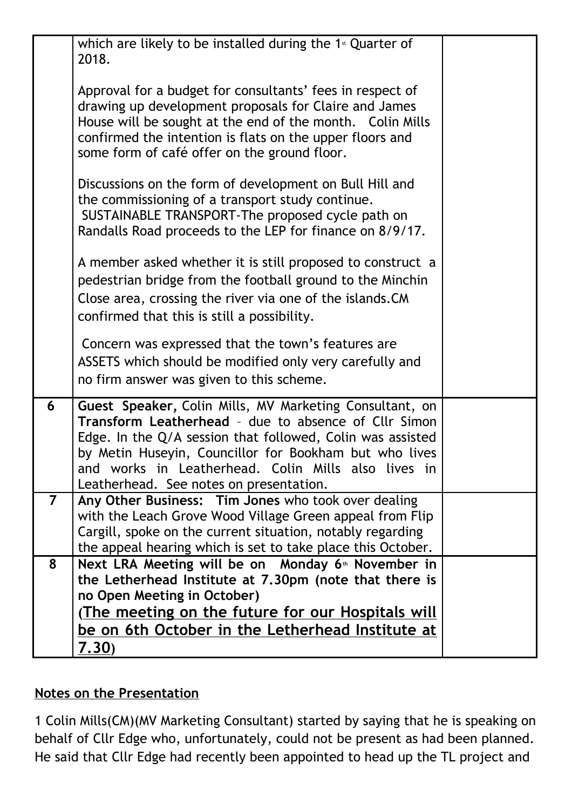|                | which are likely to be installed during the $1*$ Quarter of<br>2018.                                                                                                                                                                                                                                                                      |  |
|----------------|-------------------------------------------------------------------------------------------------------------------------------------------------------------------------------------------------------------------------------------------------------------------------------------------------------------------------------------------|--|
|                | Approval for a budget for consultants' fees in respect of<br>drawing up development proposals for Claire and James<br>House will be sought at the end of the month. Colin Mills<br>confirmed the intention is flats on the upper floors and<br>some form of café offer on the ground floor.                                               |  |
|                | Discussions on the form of development on Bull Hill and<br>the commissioning of a transport study continue.<br>SUSTAINABLE TRANSPORT-The proposed cycle path on<br>Randalls Road proceeds to the LEP for finance on 8/9/17.                                                                                                               |  |
|                | A member asked whether it is still proposed to construct a<br>pedestrian bridge from the football ground to the Minchin<br>Close area, crossing the river via one of the islands. CM<br>confirmed that this is still a possibility.                                                                                                       |  |
|                | Concern was expressed that the town's features are<br>ASSETS which should be modified only very carefully and<br>no firm answer was given to this scheme.                                                                                                                                                                                 |  |
| 6              | Guest Speaker, Colin Mills, MV Marketing Consultant, on<br>Transform Leatherhead - due to absence of Cllr Simon<br>Edge. In the Q/A session that followed, Colin was assisted<br>by Metin Huseyin, Councillor for Bookham but who lives<br>and works in Leatherhead. Colin Mills also lives in<br>Leatherhead. See notes on presentation. |  |
| $\overline{7}$ | Any Other Business: Tim Jones who took over dealing<br>with the Leach Grove Wood Village Green appeal from Flip<br>Cargill, spoke on the current situation, notably regarding<br>the appeal hearing which is set to take place this October.                                                                                              |  |
| 8              | Next LRA Meeting will be on Monday 6 <sup>th</sup> November in<br>the Letherhead Institute at 7.30pm (note that there is<br>no Open Meeting in October)<br><u>(The meeting on the future for our Hospitals will</u><br>be on 6th October in the Letherhead Institute at<br><u>7.30)</u>                                                   |  |

## **Notes on the Presentation**

1 Colin Mills(CM)(MV Marketing Consultant) started by saying that he is speaking on behalf of Cllr Edge who, unfortunately, could not be present as had been planned. He said that Cllr Edge had recently been appointed to head up the TL project and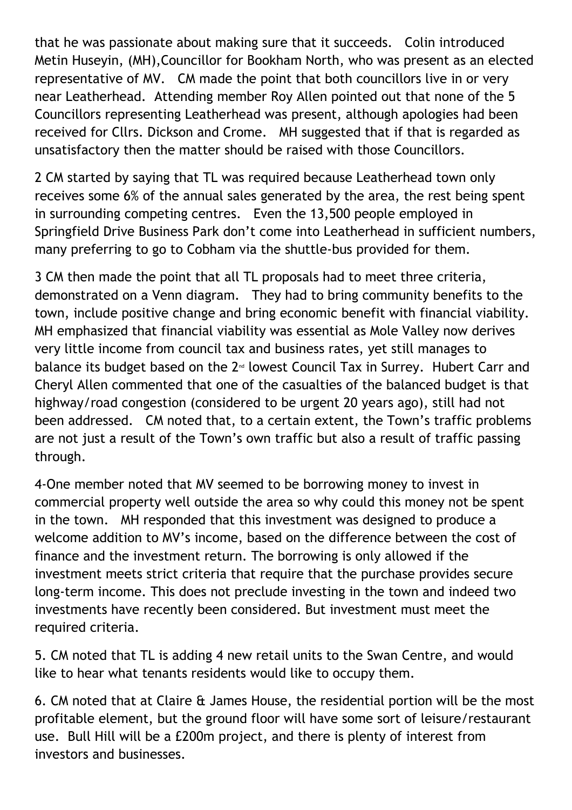that he was passionate about making sure that it succeeds. Colin introduced Metin Huseyin, (MH),Councillor for Bookham North, who was present as an elected representative of MV. CM made the point that both councillors live in or very near Leatherhead. Attending member Roy Allen pointed out that none of the 5 Councillors representing Leatherhead was present, although apologies had been received for Cllrs. Dickson and Crome. MH suggested that if that is regarded as unsatisfactory then the matter should be raised with those Councillors.

2 CM started by saying that TL was required because Leatherhead town only receives some 6% of the annual sales generated by the area, the rest being spent in surrounding competing centres. Even the 13,500 people employed in Springfield Drive Business Park don't come into Leatherhead in sufficient numbers, many preferring to go to Cobham via the shuttle-bus provided for them.

3 CM then made the point that all TL proposals had to meet three criteria, demonstrated on a Venn diagram. They had to bring community benefits to the town, include positive change and bring economic benefit with financial viability. MH emphasized that financial viability was essential as Mole Valley now derives very little income from council tax and business rates, yet still manages to balance its budget based on the 2<sup>nd</sup> lowest Council Tax in Surrey. Hubert Carr and Cheryl Allen commented that one of the casualties of the balanced budget is that highway/road congestion (considered to be urgent 20 years ago), still had not been addressed. CM noted that, to a certain extent, the Town's traffic problems are not just a result of the Town's own traffic but also a result of traffic passing through.

4-One member noted that MV seemed to be borrowing money to invest in commercial property well outside the area so why could this money not be spent in the town. MH responded that this investment was designed to produce a welcome addition to MV's income, based on the difference between the cost of finance and the investment return. The borrowing is only allowed if the investment meets strict criteria that require that the purchase provides secure long-term income. This does not preclude investing in the town and indeed two investments have recently been considered. But investment must meet the required criteria.

5. CM noted that TL is adding 4 new retail units to the Swan Centre, and would like to hear what tenants residents would like to occupy them.

6. CM noted that at Claire & James House, the residential portion will be the most profitable element, but the ground floor will have some sort of leisure/restaurant use. Bull Hill will be a £200m project, and there is plenty of interest from investors and businesses.